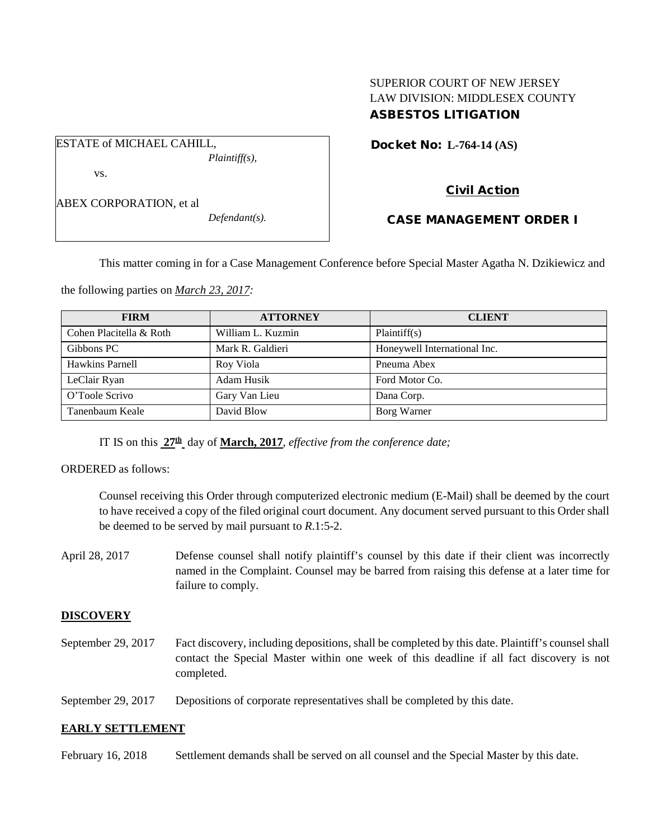## SUPERIOR COURT OF NEW JERSEY LAW DIVISION: MIDDLESEX COUNTY ASBESTOS LITIGATION

Docket No: **L-764-14 (AS)** 

vs.

ABEX CORPORATION, et al

ESTATE of MICHAEL CAHILL,

*Defendant(s).*

*Plaintiff(s),*

# Civil Action

### CASE MANAGEMENT ORDER I

This matter coming in for a Case Management Conference before Special Master Agatha N. Dzikiewicz and

the following parties on *March 23, 2017:*

| <b>FIRM</b>             | <b>ATTORNEY</b>   | <b>CLIENT</b>                |
|-------------------------|-------------------|------------------------------|
| Cohen Placitella & Roth | William L. Kuzmin | Plaintiff(s)                 |
| Gibbons PC              | Mark R. Galdieri  | Honeywell International Inc. |
| Hawkins Parnell         | Roy Viola         | Pneuma Abex                  |
| LeClair Ryan            | Adam Husik        | Ford Motor Co.               |
| O'Toole Scrivo          | Gary Van Lieu     | Dana Corp.                   |
| Tanenbaum Keale         | David Blow        | Borg Warner                  |

IT IS on this **27th** day of **March, 2017**, *effective from the conference date;*

ORDERED as follows:

Counsel receiving this Order through computerized electronic medium (E-Mail) shall be deemed by the court to have received a copy of the filed original court document. Any document served pursuant to this Order shall be deemed to be served by mail pursuant to *R*.1:5-2.

April 28, 2017 Defense counsel shall notify plaintiff's counsel by this date if their client was incorrectly named in the Complaint. Counsel may be barred from raising this defense at a later time for failure to comply.

### **DISCOVERY**

September 29, 2017 Fact discovery, including depositions, shall be completed by this date. Plaintiff's counsel shall contact the Special Master within one week of this deadline if all fact discovery is not completed.

September 29, 2017 Depositions of corporate representatives shall be completed by this date.

### **EARLY SETTLEMENT**

February 16, 2018 Settlement demands shall be served on all counsel and the Special Master by this date.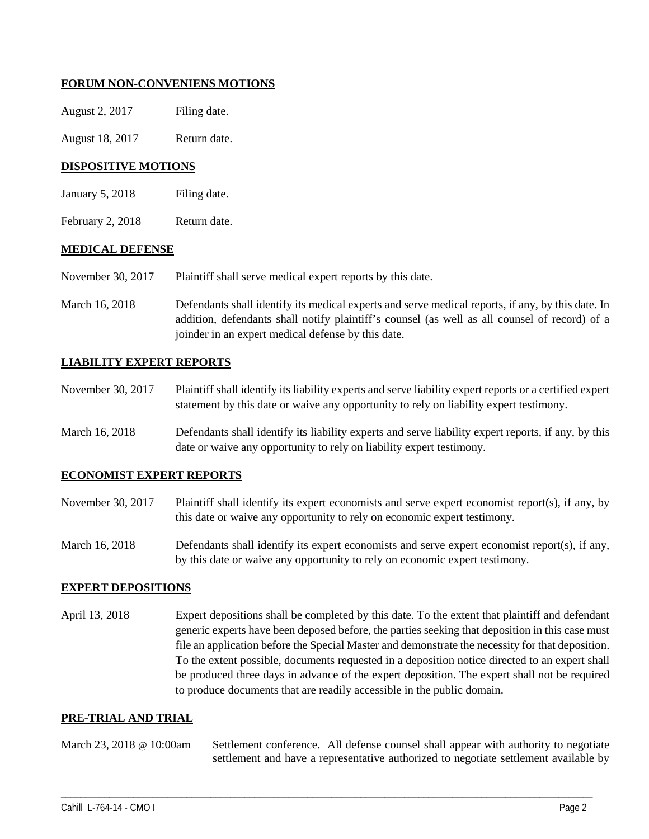### **FORUM NON-CONVENIENS MOTIONS**

| August 2, 2017 | Filing date. |
|----------------|--------------|
|                |              |

August 18, 2017 Return date.

### **DISPOSITIVE MOTIONS**

- January 5, 2018 Filing date.
- February 2, 2018 Return date.

#### **MEDICAL DEFENSE**

- November 30, 2017 Plaintiff shall serve medical expert reports by this date.
- March 16, 2018 Defendants shall identify its medical experts and serve medical reports, if any, by this date. In addition, defendants shall notify plaintiff's counsel (as well as all counsel of record) of a joinder in an expert medical defense by this date.

#### **LIABILITY EXPERT REPORTS**

- November 30, 2017 Plaintiff shall identify its liability experts and serve liability expert reports or a certified expert statement by this date or waive any opportunity to rely on liability expert testimony.
- March 16, 2018 Defendants shall identify its liability experts and serve liability expert reports, if any, by this date or waive any opportunity to rely on liability expert testimony.

#### **ECONOMIST EXPERT REPORTS**

- November 30, 2017 Plaintiff shall identify its expert economists and serve expert economist report(s), if any, by this date or waive any opportunity to rely on economic expert testimony.
- March 16, 2018 Defendants shall identify its expert economists and serve expert economist report(s), if any, by this date or waive any opportunity to rely on economic expert testimony.

#### **EXPERT DEPOSITIONS**

April 13, 2018 Expert depositions shall be completed by this date. To the extent that plaintiff and defendant generic experts have been deposed before, the parties seeking that deposition in this case must file an application before the Special Master and demonstrate the necessity for that deposition. To the extent possible, documents requested in a deposition notice directed to an expert shall be produced three days in advance of the expert deposition. The expert shall not be required to produce documents that are readily accessible in the public domain.

#### **PRE-TRIAL AND TRIAL**

March 23, 2018 @ 10:00am Settlement conference. All defense counsel shall appear with authority to negotiate settlement and have a representative authorized to negotiate settlement available by

\_\_\_\_\_\_\_\_\_\_\_\_\_\_\_\_\_\_\_\_\_\_\_\_\_\_\_\_\_\_\_\_\_\_\_\_\_\_\_\_\_\_\_\_\_\_\_\_\_\_\_\_\_\_\_\_\_\_\_\_\_\_\_\_\_\_\_\_\_\_\_\_\_\_\_\_\_\_\_\_\_\_\_\_\_\_\_\_\_\_\_\_\_\_\_\_\_\_\_\_\_\_\_\_\_\_\_\_\_\_